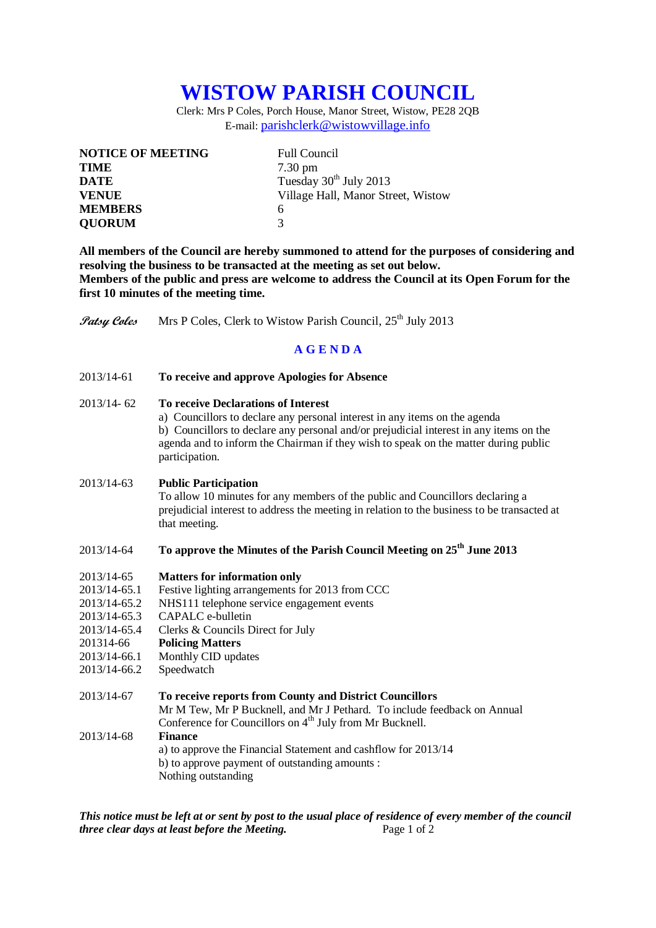# **WISTOW PARISH COUNCIL**

Clerk: Mrs P Coles, Porch House, Manor Street, Wistow, PE28 2QB E-mail: [parishclerk@wistowvillage.info](mailto:parishclerk@wistowvillage.info)

| <b>NOTICE OF MEETING</b> | <b>Full Council</b>                |
|--------------------------|------------------------------------|
| <b>TIME</b>              | $7.30 \text{ pm}$                  |
| <b>DATE</b>              | Tuesday 30 <sup>th</sup> July 2013 |
| <b>VENUE</b>             | Village Hall, Manor Street, Wistow |
| <b>MEMBERS</b>           | 6                                  |
| <b>QUORUM</b>            | 3                                  |

**All members of the Council are hereby summoned to attend for the purposes of considering and resolving the business to be transacted at the meeting as set out below. Members of the public and press are welcome to address the Council at its Open Forum for the first 10 minutes of the meeting time.**

**Patsy Coles** Mrs P Coles, Clerk to Wistow Parish Council, 25<sup>th</sup> July 2013

## **A G E N D A**

2013/14-61 **To receive and approve Apologies for Absence**

### 2013/14- 62 **To receive Declarations of Interest**

a) Councillors to declare any personal interest in any items on the agenda b) Councillors to declare any personal and/or prejudicial interest in any items on the agenda and to inform the Chairman if they wish to speak on the matter during public participation.

#### 2013/14-63 **Public Participation**

To allow 10 minutes for any members of the public and Councillors declaring a prejudicial interest to address the meeting in relation to the business to be transacted at that meeting.

# 2013/14-64 **To approve the Minutes of the Parish Council Meeting on 25th June 2013**

- 2013/14-65 **Matters for information only**
- 2013/14-65.1 Festive lighting arrangements for 2013 from CCC
- 2013/14-65.2 NHS111 telephone service engagement events
- 2013/14-65.3 CAPALC e-bulletin
- 2013/14-65.4 Clerks & Councils Direct for July
- 201314-66 **Policing Matters**
- 2013/14-66.1 Monthly CID updates
- 2013/14-66.2 Speedwatch

| 2013/14-67 | To receive reports from County and District Councillors                  |
|------------|--------------------------------------------------------------------------|
|            | Mr M Tew, Mr P Bucknell, and Mr J Pethard. To include feedback on Annual |
|            | Conference for Councillors on 4 <sup>th</sup> July from Mr Bucknell.     |
| 2013/14-68 | <b>Finance</b>                                                           |
|            | a) to approve the Financial Statement and cashflow for 2013/14           |
|            | b) to approve payment of outstanding amounts :                           |
|            | Nothing outstanding                                                      |

*This notice must be left at or sent by post to the usual place of residence of every member of the council three clear days at least before the Meeting.* Page 1 of 2